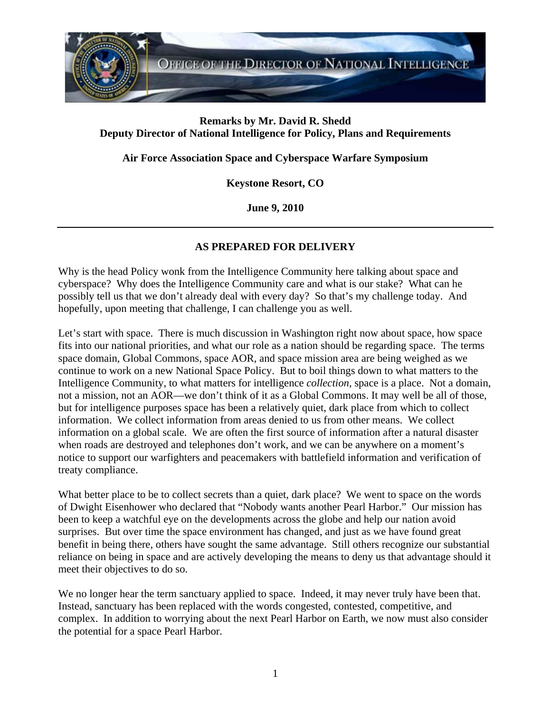

## **Remarks by Mr. David R. Shedd Deputy Director of National Intelligence for Policy, Plans and Requirements**

**Air Force Association Space and Cyberspace Warfare Symposium** 

**Keystone Resort, CO** 

**June 9, 2010** 

## **AS PREPARED FOR DELIVERY**

Why is the head Policy wonk from the Intelligence Community here talking about space and cyberspace? Why does the Intelligence Community care and what is our stake? What can he possibly tell us that we don't already deal with every day? So that's my challenge today. And hopefully, upon meeting that challenge, I can challenge you as well.

Let's start with space. There is much discussion in Washington right now about space, how space fits into our national priorities, and what our role as a nation should be regarding space. The terms space domain, Global Commons, space AOR, and space mission area are being weighed as we continue to work on a new National Space Policy. But to boil things down to what matters to the Intelligence Community, to what matters for intelligence *collection*, space is a place. Not a domain, not a mission, not an AOR—we don't think of it as a Global Commons. It may well be all of those, but for intelligence purposes space has been a relatively quiet, dark place from which to collect information. We collect information from areas denied to us from other means. We collect information on a global scale. We are often the first source of information after a natural disaster when roads are destroyed and telephones don't work, and we can be anywhere on a moment's notice to support our warfighters and peacemakers with battlefield information and verification of treaty compliance.

What better place to be to collect secrets than a quiet, dark place? We went to space on the words of Dwight Eisenhower who declared that "Nobody wants another Pearl Harbor." Our mission has been to keep a watchful eye on the developments across the globe and help our nation avoid surprises. But over time the space environment has changed, and just as we have found great benefit in being there, others have sought the same advantage. Still others recognize our substantial reliance on being in space and are actively developing the means to deny us that advantage should it meet their objectives to do so.

We no longer hear the term sanctuary applied to space. Indeed, it may never truly have been that. Instead, sanctuary has been replaced with the words congested, contested, competitive, and complex. In addition to worrying about the next Pearl Harbor on Earth, we now must also consider the potential for a space Pearl Harbor.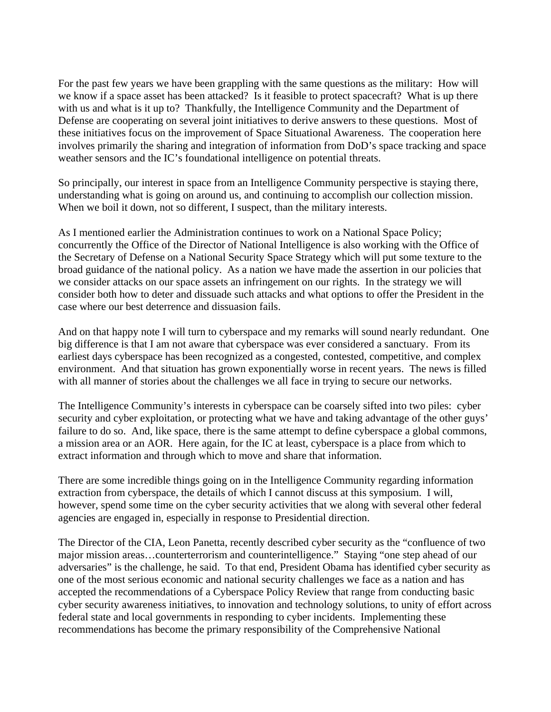For the past few years we have been grappling with the same questions as the military: How will we know if a space asset has been attacked? Is it feasible to protect spacecraft? What is up there with us and what is it up to? Thankfully, the Intelligence Community and the Department of Defense are cooperating on several joint initiatives to derive answers to these questions. Most of these initiatives focus on the improvement of Space Situational Awareness. The cooperation here involves primarily the sharing and integration of information from DoD's space tracking and space weather sensors and the IC's foundational intelligence on potential threats.

So principally, our interest in space from an Intelligence Community perspective is staying there, understanding what is going on around us, and continuing to accomplish our collection mission. When we boil it down, not so different, I suspect, than the military interests.

As I mentioned earlier the Administration continues to work on a National Space Policy; concurrently the Office of the Director of National Intelligence is also working with the Office of the Secretary of Defense on a National Security Space Strategy which will put some texture to the broad guidance of the national policy. As a nation we have made the assertion in our policies that we consider attacks on our space assets an infringement on our rights. In the strategy we will consider both how to deter and dissuade such attacks and what options to offer the President in the case where our best deterrence and dissuasion fails.

And on that happy note I will turn to cyberspace and my remarks will sound nearly redundant. One big difference is that I am not aware that cyberspace was ever considered a sanctuary. From its earliest days cyberspace has been recognized as a congested, contested, competitive, and complex environment. And that situation has grown exponentially worse in recent years. The news is filled with all manner of stories about the challenges we all face in trying to secure our networks.

The Intelligence Community's interests in cyberspace can be coarsely sifted into two piles: cyber security and cyber exploitation, or protecting what we have and taking advantage of the other guys' failure to do so. And, like space, there is the same attempt to define cyberspace a global commons, a mission area or an AOR. Here again, for the IC at least, cyberspace is a place from which to extract information and through which to move and share that information.

There are some incredible things going on in the Intelligence Community regarding information extraction from cyberspace, the details of which I cannot discuss at this symposium. I will, however, spend some time on the cyber security activities that we along with several other federal agencies are engaged in, especially in response to Presidential direction.

The Director of the CIA, Leon Panetta, recently described cyber security as the "confluence of two major mission areas…counterterrorism and counterintelligence." Staying "one step ahead of our adversaries" is the challenge, he said. To that end, President Obama has identified cyber security as one of the most serious economic and national security challenges we face as a nation and has accepted the recommendations of a Cyberspace Policy Review that range from conducting basic cyber security awareness initiatives, to innovation and technology solutions, to unity of effort across federal state and local governments in responding to cyber incidents. Implementing these recommendations has become the primary responsibility of the Comprehensive National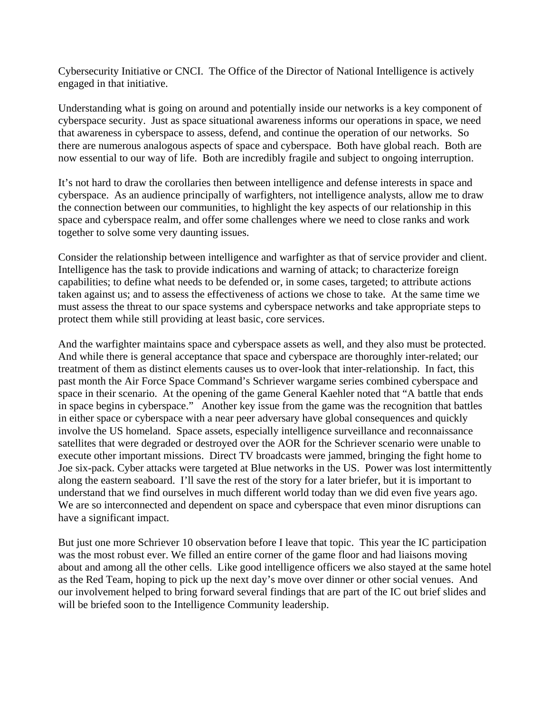Cybersecurity Initiative or CNCI. The Office of the Director of National Intelligence is actively engaged in that initiative.

Understanding what is going on around and potentially inside our networks is a key component of cyberspace security. Just as space situational awareness informs our operations in space, we need that awareness in cyberspace to assess, defend, and continue the operation of our networks. So there are numerous analogous aspects of space and cyberspace. Both have global reach. Both are now essential to our way of life. Both are incredibly fragile and subject to ongoing interruption.

It's not hard to draw the corollaries then between intelligence and defense interests in space and cyberspace. As an audience principally of warfighters, not intelligence analysts, allow me to draw the connection between our communities, to highlight the key aspects of our relationship in this space and cyberspace realm, and offer some challenges where we need to close ranks and work together to solve some very daunting issues.

Consider the relationship between intelligence and warfighter as that of service provider and client. Intelligence has the task to provide indications and warning of attack; to characterize foreign capabilities; to define what needs to be defended or, in some cases, targeted; to attribute actions taken against us; and to assess the effectiveness of actions we chose to take. At the same time we must assess the threat to our space systems and cyberspace networks and take appropriate steps to protect them while still providing at least basic, core services.

And the warfighter maintains space and cyberspace assets as well, and they also must be protected. And while there is general acceptance that space and cyberspace are thoroughly inter-related; our treatment of them as distinct elements causes us to over-look that inter-relationship. In fact, this past month the Air Force Space Command's Schriever wargame series combined cyberspace and space in their scenario. At the opening of the game General Kaehler noted that "A battle that ends in space begins in cyberspace." Another key issue from the game was the recognition that battles in either space or cyberspace with a near peer adversary have global consequences and quickly involve the US homeland. Space assets, especially intelligence surveillance and reconnaissance satellites that were degraded or destroyed over the AOR for the Schriever scenario were unable to execute other important missions. Direct TV broadcasts were jammed, bringing the fight home to Joe six-pack. Cyber attacks were targeted at Blue networks in the US. Power was lost intermittently along the eastern seaboard. I'll save the rest of the story for a later briefer, but it is important to understand that we find ourselves in much different world today than we did even five years ago. We are so interconnected and dependent on space and cyberspace that even minor disruptions can have a significant impact.

But just one more Schriever 10 observation before I leave that topic. This year the IC participation was the most robust ever. We filled an entire corner of the game floor and had liaisons moving about and among all the other cells. Like good intelligence officers we also stayed at the same hotel as the Red Team, hoping to pick up the next day's move over dinner or other social venues. And our involvement helped to bring forward several findings that are part of the IC out brief slides and will be briefed soon to the Intelligence Community leadership.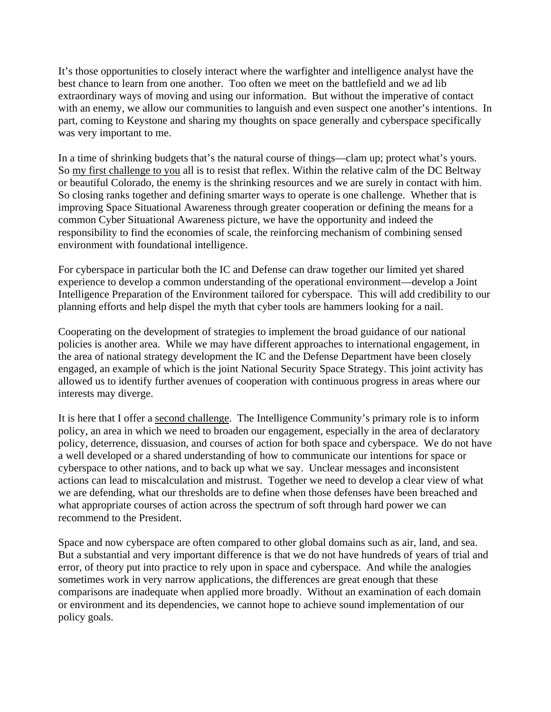It's those opportunities to closely interact where the warfighter and intelligence analyst have the best chance to learn from one another. Too often we meet on the battlefield and we ad lib extraordinary ways of moving and using our information. But without the imperative of contact with an enemy, we allow our communities to languish and even suspect one another's intentions. In part, coming to Keystone and sharing my thoughts on space generally and cyberspace specifically was very important to me.

In a time of shrinking budgets that's the natural course of things—clam up; protect what's yours. So my first challenge to you all is to resist that reflex. Within the relative calm of the DC Beltway or beautiful Colorado, the enemy is the shrinking resources and we are surely in contact with him. So closing ranks together and defining smarter ways to operate is one challenge. Whether that is improving Space Situational Awareness through greater cooperation or defining the means for a common Cyber Situational Awareness picture, we have the opportunity and indeed the responsibility to find the economies of scale, the reinforcing mechanism of combining sensed environment with foundational intelligence.

For cyberspace in particular both the IC and Defense can draw together our limited yet shared experience to develop a common understanding of the operational environment—develop a Joint Intelligence Preparation of the Environment tailored for cyberspace. This will add credibility to our planning efforts and help dispel the myth that cyber tools are hammers looking for a nail.

Cooperating on the development of strategies to implement the broad guidance of our national policies is another area. While we may have different approaches to international engagement, in the area of national strategy development the IC and the Defense Department have been closely engaged, an example of which is the joint National Security Space Strategy. This joint activity has allowed us to identify further avenues of cooperation with continuous progress in areas where our interests may diverge.

It is here that I offer a second challenge. The Intelligence Community's primary role is to inform policy, an area in which we need to broaden our engagement, especially in the area of declaratory policy, deterrence, dissuasion, and courses of action for both space and cyberspace. We do not have a well developed or a shared understanding of how to communicate our intentions for space or cyberspace to other nations, and to back up what we say. Unclear messages and inconsistent actions can lead to miscalculation and mistrust. Together we need to develop a clear view of what we are defending, what our thresholds are to define when those defenses have been breached and what appropriate courses of action across the spectrum of soft through hard power we can recommend to the President.

Space and now cyberspace are often compared to other global domains such as air, land, and sea. But a substantial and very important difference is that we do not have hundreds of years of trial and error, of theory put into practice to rely upon in space and cyberspace. And while the analogies sometimes work in very narrow applications, the differences are great enough that these comparisons are inadequate when applied more broadly. Without an examination of each domain or environment and its dependencies, we cannot hope to achieve sound implementation of our policy goals.